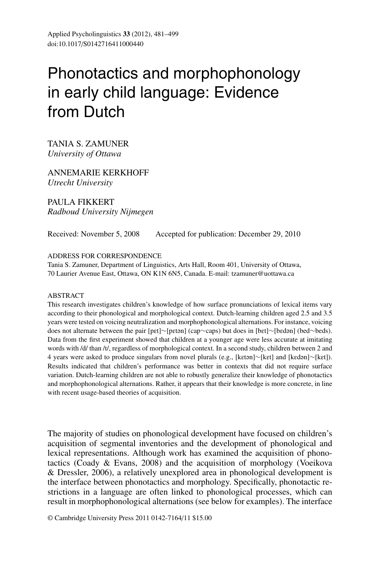# Phonotactics and morphophonology in early child language: Evidence from Dutch

TANIA S. ZAMUNER *University of Ottawa*

ANNEMARIE KERKHOFF *Utrecht University*

PAULA FIKKERT *Radboud University Nijmegen*

Received: November 5, 2008 Accepted for publication: December 29, 2010

#### ADDRESS FOR CORRESPONDENCE

Tania S. Zamuner, Department of Linguistics, Arts Hall, Room 401, University of Ottawa, 70 Laurier Avenue East, Ottawa, ON K1N 6N5, Canada. E-mail: tzamuner@uottawa.ca

#### ABSTRACT

This research investigates children's knowledge of how surface pronunciations of lexical items vary according to their phonological and morphological context. Dutch-learning children aged 2.5 and 3.5 years were tested on voicing neutralization and morphophonological alternations. For instance, voicing does not alternate between the pair [pɛt]∼[pɛtən] (cap∼caps) but does in [bɛt]∼[bɛdən] (bed∼beds). Data from the first experiment showed that children at a younger age were less accurate at imitating words with /d/ than /t/, regardless of morphological context. In a second study, children between 2 and 4 years were asked to produce singulars from novel plurals (e.g., [kɛtən]∼[kɛt] and [kɛdən]∼[kɛt]). Results indicated that children's performance was better in contexts that did not require surface variation. Dutch-learning children are not able to robustly generalize their knowledge of phonotactics and morphophonological alternations. Rather, it appears that their knowledge is more concrete, in line with recent usage-based theories of acquisition.

The majority of studies on phonological development have focused on children's acquisition of segmental inventories and the development of phonological and lexical representations. Although work has examined the acquisition of phonotactics (Coady  $\&$  Evans, 2008) and the acquisition of morphology (Voeikova & Dressler, 2006), a relatively unexplored area in phonological development is the interface between phonotactics and morphology. Specifically, phonotactic restrictions in a language are often linked to phonological processes, which can result in morphophonological alternations (see below for examples). The interface

© Cambridge University Press 2011 0142-7164/11 \$15.00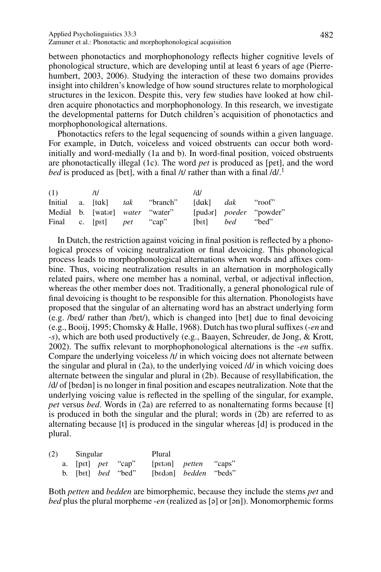between phonotactics and morphophonology reflects higher cognitive levels of phonological structure, which are developing until at least 6 years of age (Pierrehumbert, 2003, 2006). Studying the interaction of these two domains provides insight into children's knowledge of how sound structures relate to morphological structures in the lexicon. Despite this, very few studies have looked at how children acquire phonotactics and morphophonology. In this research, we investigate the developmental patterns for Dutch children's acquisition of phonotactics and morphophonological alternations.

Phonotactics refers to the legal sequencing of sounds within a given language. For example, in Dutch, voiceless and voiced obstruents can occur both wordinitially and word-medially (1a and b). In word-final position, voiced obstruents are phonotactically illegal (1c). The word *pet* is produced as [pɛt], and the word *bed* is produced as [bɛt], with a final /t/ rather than with a final /d/.<sup>1</sup>

| (1) | /t/                       |                                      | /d/   |                         |                                |
|-----|---------------------------|--------------------------------------|-------|-------------------------|--------------------------------|
|     |                           | Initial a. [tɑk] <i>tak</i> "branch" |       | [dak] <i>dak</i> "roof" |                                |
|     |                           | Medial b. [watər] water "water"      |       |                         | [pudər] <i>poeder</i> "powder" |
|     | Final c. [pet] <i>pet</i> | "cap"                                | [bɛt] | bed                     | "bed"                          |

In Dutch, the restriction against voicing in final position is reflected by a phonological process of voicing neutralization or final devoicing. This phonological process leads to morphophonological alternations when words and affixes combine. Thus, voicing neutralization results in an alternation in morphologically related pairs, where one member has a nominal, verbal, or adjectival inflection, whereas the other member does not. Traditionally, a general phonological rule of final devoicing is thought to be responsible for this alternation. Phonologists have proposed that the singular of an alternating word has an abstract underlying form (e.g. /bɛd/ rather than /bɛt/), which is changed into [bɛt] due to final devoicing (e.g., Booij, 1995; Chomsky & Halle, 1968). Dutch has two plural suffixes (-*en* and -*s*), which are both used productively (e.g., Baayen, Schreuder, de Jong, & Krott, 2002). The suffix relevant to morphophonological alternations is the -*en* suffix. Compare the underlying voiceless /t/ in which voicing does not alternate between the singular and plural in (2a), to the underlying voiced /d/ in which voicing does alternate between the singular and plural in (2b). Because of resyllabification, the /d/ of [bɛdən] is no longer in final position and escapes neutralization. Note that the underlying voicing value is reflected in the spelling of the singular, for example, *pet* versus *bed*. Words in (2a) are referred to as nonalternating forms because [t] is produced in both the singular and the plural; words in (2b) are referred to as alternating because [t] is produced in the singular whereas [d] is produced in the plural.

| (2) | Singular |                           | Plural                       |                              |  |
|-----|----------|---------------------------|------------------------------|------------------------------|--|
|     |          | a. [pɛt] <i>pet</i> "cap" | [peton] <i>petten</i> "caps" |                              |  |
|     |          | b. [bɛt] <i>bed</i> "bed" |                              | [bedən] <i>bedden</i> "beds" |  |

Both *petten* and *bedden* are bimorphemic, because they include the stems *pet* and *bed* plus the plural morpheme -*en* (realized as [ə] or [ən]). Monomorphemic forms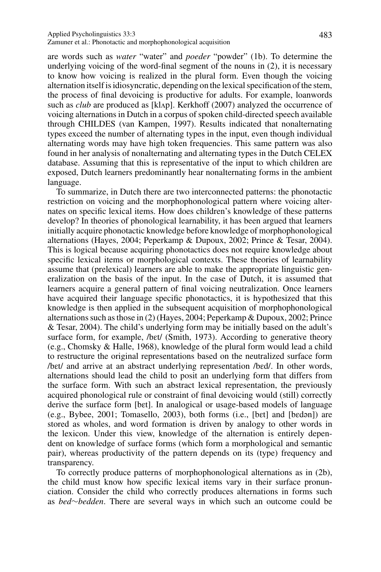#### Applied Psycholinguistics 33:3 483 Zamuner et al.: Phonotactic and morphophonological acquisition

are words such as *water* "water" and *poeder* "powder" (1b). To determine the underlying voicing of the word-final segment of the nouns in (2), it is necessary to know how voicing is realized in the plural form. Even though the voicing alternation itself is idiosyncratic, depending on the lexical specification of the stem, the process of final devoicing is productive for adults. For example, loanwords such as *club* are produced as [klʌp]. Kerkhoff (2007) analyzed the occurrence of voicing alternations in Dutch in a corpus of spoken child-directed speech available through CHILDES (van Kampen, 1997). Results indicated that nonalternating types exceed the number of alternating types in the input, even though individual alternating words may have high token frequencies. This same pattern was also found in her analysis of nonalternating and alternating types in the Dutch CELEX database. Assuming that this is representative of the input to which children are exposed, Dutch learners predominantly hear nonalternating forms in the ambient language.

To summarize, in Dutch there are two interconnected patterns: the phonotactic restriction on voicing and the morphophonological pattern where voicing alternates on specific lexical items. How does children's knowledge of these patterns develop? In theories of phonological learnability, it has been argued that learners initially acquire phonotactic knowledge before knowledge of morphophonological alternations (Hayes, 2004; Peperkamp & Dupoux, 2002; Prince & Tesar, 2004). This is logical because acquiring phonotactics does not require knowledge about specific lexical items or morphological contexts. These theories of learnability assume that (prelexical) learners are able to make the appropriate linguistic generalization on the basis of the input. In the case of Dutch, it is assumed that learners acquire a general pattern of final voicing neutralization. Once learners have acquired their language specific phonotactics, it is hypothesized that this knowledge is then applied in the subsequent acquisition of morphophonological alternations such as those in (2) (Hayes, 2004; Peperkamp & Dupoux, 2002; Prince & Tesar, 2004). The child's underlying form may be initially based on the adult's surface form, for example, /bɛt/ (Smith, 1973). According to generative theory (e.g., Chomsky & Halle, 1968), knowledge of the plural form would lead a child to restructure the original representations based on the neutralized surface form /bɛt/ and arrive at an abstract underlying representation /bɛd/. In other words, alternations should lead the child to posit an underlying form that differs from the surface form. With such an abstract lexical representation, the previously acquired phonological rule or constraint of final devoicing would (still) correctly derive the surface form [bɛt]. In analogical or usage-based models of language (e.g., Bybee, 2001; Tomasello, 2003), both forms (i.e., [bɛt] and [bɛdən]) are stored as wholes, and word formation is driven by analogy to other words in the lexicon. Under this view, knowledge of the alternation is entirely dependent on knowledge of surface forms (which form a morphological and semantic pair), whereas productivity of the pattern depends on its (type) frequency and transparency.

To correctly produce patterns of morphophonological alternations as in (2b), the child must know how specific lexical items vary in their surface pronunciation. Consider the child who correctly produces alternations in forms such as *bed*∼*bedden*. There are several ways in which such an outcome could be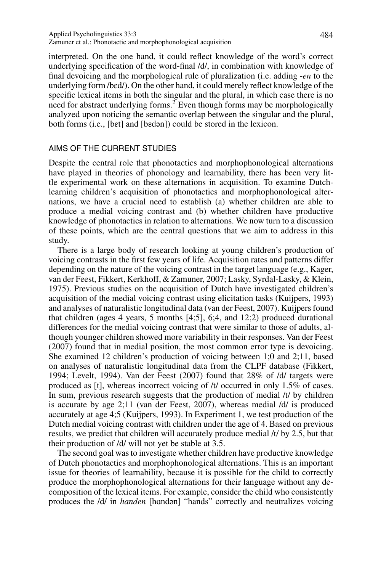Applied Psycholinguistics 33:3 484 Zamuner et al.: Phonotactic and morphophonological acquisition

interpreted. On the one hand, it could reflect knowledge of the word's correct underlying specification of the word-final /d/, in combination with knowledge of final devoicing and the morphological rule of pluralization (i.e. adding -*en* to the underlying form /bɛd/). On the other hand, it could merely reflect knowledge of the specific lexical items in both the singular and the plural, in which case there is no need for abstract underlying forms.<sup>2</sup> Even though forms may be morphologically analyzed upon noticing the semantic overlap between the singular and the plural, both forms (i.e., [bɛt] and [bɛdən]) could be stored in the lexicon.

#### AIMS OF THE CURRENT STUDIES

Despite the central role that phonotactics and morphophonological alternations have played in theories of phonology and learnability, there has been very little experimental work on these alternations in acquisition. To examine Dutchlearning children's acquisition of phonotactics and morphophonological alternations, we have a crucial need to establish (a) whether children are able to produce a medial voicing contrast and (b) whether children have productive knowledge of phonotactics in relation to alternations. We now turn to a discussion of these points, which are the central questions that we aim to address in this study.

There is a large body of research looking at young children's production of voicing contrasts in the first few years of life. Acquisition rates and patterns differ depending on the nature of the voicing contrast in the target language (e.g., Kager, van der Feest, Fikkert, Kerkhoff, & Zamuner, 2007; Lasky, Syrdal-Lasky, & Klein, 1975). Previous studies on the acquisition of Dutch have investigated children's acquisition of the medial voicing contrast using elicitation tasks (Kuijpers, 1993) and analyses of naturalistic longitudinal data (van der Feest, 2007). Kuijpers found that children (ages 4 years, 5 months [4;5], 6;4, and 12;2) produced durational differences for the medial voicing contrast that were similar to those of adults, although younger children showed more variability in their responses. Van der Feest (2007) found that in medial position, the most common error type is devoicing. She examined 12 children's production of voicing between 1;0 and 2;11, based on analyses of naturalistic longitudinal data from the CLPF database (Fikkert, 1994; Levelt, 1994). Van der Feest (2007) found that 28% of /d/ targets were produced as [t], whereas incorrect voicing of /t/ occurred in only 1.5% of cases. In sum, previous research suggests that the production of medial /t/ by children is accurate by age 2;11 (van der Feest, 2007), whereas medial /d/ is produced accurately at age 4;5 (Kuijpers, 1993). In Experiment 1, we test production of the Dutch medial voicing contrast with children under the age of 4. Based on previous results, we predict that children will accurately produce medial /t/ by 2.5, but that their production of /d/ will not yet be stable at 3.5.

The second goal was to investigate whether children have productive knowledge of Dutch phonotactics and morphophonological alternations. This is an important issue for theories of learnability, because it is possible for the child to correctly produce the morphophonological alternations for their language without any decomposition of the lexical items. For example, consider the child who consistently produces the /d/ in *handen* [hɑndən] "hands" correctly and neutralizes voicing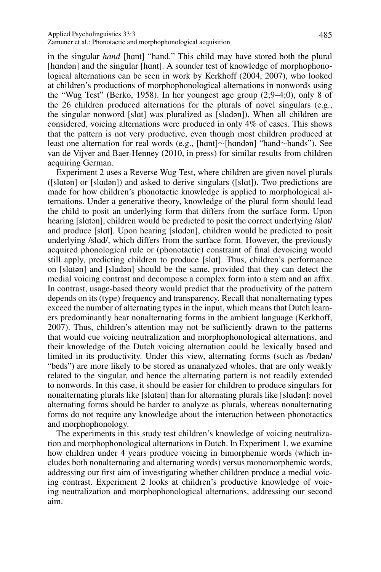in the singular *hand* [hɑnt] "hand." This child may have stored both the plural [handən] and the singular [hant]. A sounder test of knowledge of morphophonological alternations can be seen in work by Kerkhoff (2004, 2007), who looked at children's productions of morphophonological alternations in nonwords using the "Wug Test" (Berko, 1958). In her youngest age group (2;9–4;0), only 8 of the 26 children produced alternations for the plurals of novel singulars (e.g., the singular nonword [slɑt] was pluralized as [slɑdən]). When all children are considered, voicing alternations were produced in only 4% of cases. This shows that the pattern is not very productive, even though most children produced at least one alternation for real words (e.g., [hɑnt]∼[hɑndən] "hand∼hands"). See van de Vijver and Baer-Henney (2010, in press) for similar results from children acquiring German.

Experiment 2 uses a Reverse Wug Test, where children are given novel plurals ([slɑtən] or [slɑdən]) and asked to derive singulars ([slɑt]). Two predictions are made for how children's phonotactic knowledge is applied to morphological alternations. Under a generative theory, knowledge of the plural form should lead the child to posit an underlying form that differs from the surface form. Upon hearing [slatən], children would be predicted to posit the correct underlying  $/s$ lat and produce [slɑt]. Upon hearing [slɑdən], children would be predicted to posit underlying /slɑd/, which differs from the surface form. However, the previously acquired phonological rule or (phonotactic) constraint of final devoicing would still apply, predicting children to produce [slɑt]. Thus, children's performance on [slɑtən] and [slɑdən] should be the same, provided that they can detect the medial voicing contrast and decompose a complex form into a stem and an affix. In contrast, usage-based theory would predict that the productivity of the pattern depends on its (type) frequency and transparency. Recall that nonalternating types exceed the number of alternating types in the input, which means that Dutch learners predominantly hear nonalternating forms in the ambient language (Kerkhoff, 2007). Thus, children's attention may not be sufficiently drawn to the patterns that would cue voicing neutralization and morphophonological alternations, and their knowledge of the Dutch voicing alternation could be lexically based and limited in its productivity. Under this view, alternating forms (such as /bɛdən/ "beds") are more likely to be stored as unanalyzed wholes, that are only weakly related to the singular, and hence the alternating pattern is not readily extended to nonwords. In this case, it should be easier for children to produce singulars for nonalternating plurals like [slɑtən] than for alternating plurals like [slɑdən]: novel alternating forms should be harder to analyze as plurals, whereas nonalternating forms do not require any knowledge about the interaction between phonotactics and morphophonology.

The experiments in this study test children's knowledge of voicing neutralization and morphophonological alternations in Dutch. In Experiment 1, we examine how children under 4 years produce voicing in bimorphemic words (which includes both nonalternating and alternating words) versus monomorphemic words, addressing our first aim of investigating whether children produce a medial voicing contrast. Experiment 2 looks at children's productive knowledge of voicing neutralization and morphophonological alternations, addressing our second aim.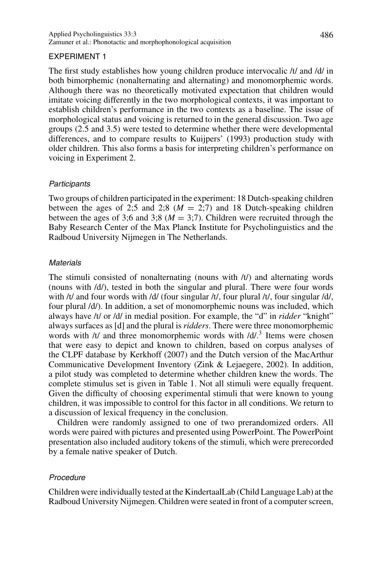## EXPERIMENT 1

The first study establishes how young children produce intervocalic /t/ and /d/ in both bimorphemic (nonalternating and alternating) and monomorphemic words. Although there was no theoretically motivated expectation that children would imitate voicing differently in the two morphological contexts, it was important to establish children's performance in the two contexts as a baseline. The issue of morphological status and voicing is returned to in the general discussion. Two age groups (2.5 and 3.5) were tested to determine whether there were developmental differences, and to compare results to Kuijpers' (1993) production study with older children. This also forms a basis for interpreting children's performance on voicing in Experiment 2.

## **Participants**

Two groups of children participated in the experiment: 18 Dutch-speaking children between the ages of 2;5 and 2;8 ( $M = 2$ ;7) and 18 Dutch-speaking children between the ages of 3;6 and 3;8 ( $M = 3$ ;7). Children were recruited through the Baby Research Center of the Max Planck Institute for Psycholinguistics and the Radboud University Nijmegen in The Netherlands.

## **Materials**

The stimuli consisted of nonalternating (nouns with /t/) and alternating words (nouns with /d/), tested in both the singular and plural. There were four words with /t/ and four words with /d/ (four singular /t/, four plural /t/, four singular /d/, four plural /d/). In addition, a set of monomorphemic nouns was included, which always have /t/ or /d/ in medial position. For example, the "d" in *ridder* "knight" always surfaces as [d] and the plural is *ridders*. There were three monomorphemic words with  $/t/$  and three monomorphemic words with  $/d/$ .<sup>3</sup> Items were chosen that were easy to depict and known to children, based on corpus analyses of the CLPF database by Kerkhoff (2007) and the Dutch version of the MacArthur Communicative Development Inventory (Zink & Lejaegere, 2002). In addition, a pilot study was completed to determine whether children knew the words. The complete stimulus set is given in Table 1. Not all stimuli were equally frequent. Given the difficulty of choosing experimental stimuli that were known to young children, it was impossible to control for this factor in all conditions. We return to a discussion of lexical frequency in the conclusion.

Children were randomly assigned to one of two prerandomized orders. All words were paired with pictures and presented using PowerPoint. The PowerPoint presentation also included auditory tokens of the stimuli, which were prerecorded by a female native speaker of Dutch.

# Procedure

Children were individually tested at the KindertaalLab (Child Language Lab) at the Radboud University Nijmegen. Children were seated in front of a computer screen,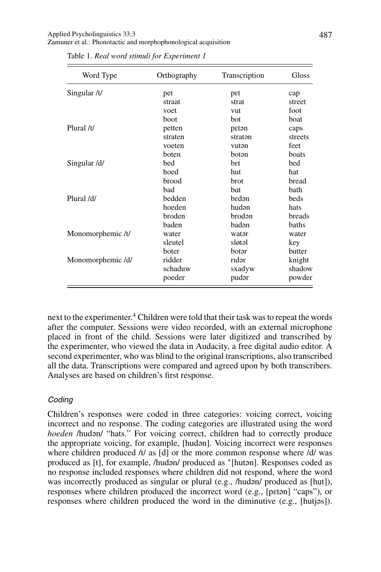| Word Type         | Orthography | Transcription | Gloss<br>cap  |  |
|-------------------|-------------|---------------|---------------|--|
| Singular /t/      | pet         | pet           |               |  |
|                   | straat      | strat         | street        |  |
|                   | voet        | vut           | foot          |  |
|                   | <b>boot</b> | <b>bot</b>    | boat          |  |
| Plural /t/        | petten      | peton         | caps          |  |
|                   | straten     | straton       | streets       |  |
|                   | voeten      | vutan         | feet          |  |
|                   | boten       | botan         | boats         |  |
| Singular /d/      | bed         | bet           | bed           |  |
|                   | hoed        | hut           | hat           |  |
|                   | brood       | <b>brot</b>   | bread         |  |
|                   | bad         | <b>b</b> at   | bath          |  |
| Plural /d/        | bedden      | bedən         | beds          |  |
|                   | hoeden      | hudən         | hats          |  |
|                   | broden      | brodan        | <b>breads</b> |  |
|                   | baden       | badan         | <b>baths</b>  |  |
| Monomorphemic /t/ | water       | watar         | water         |  |
|                   | sleutel     | sløtəl        | key           |  |
|                   | boter       | botar         | butter        |  |
| Monomorphemic /d/ | ridder      | rıdər         | knight        |  |
|                   | schaduw     | sxadyw        | shadow        |  |
|                   | poeder      | pudər         | powder        |  |

Table 1. *Real word stimuli for Experiment 1*

next to the experimenter.<sup>4</sup> Children were told that their task was to repeat the words after the computer. Sessions were video recorded, with an external microphone placed in front of the child. Sessions were later digitized and transcribed by the experimenter, who viewed the data in Audacity, a free digital audio editor. A second experimenter, who was blind to the original transcriptions, also transcribed all the data. Transcriptions were compared and agreed upon by both transcribers. Analyses are based on children's first response.

# **Coding**

Children's responses were coded in three categories: voicing correct, voicing incorrect and no response. The coding categories are illustrated using the word *hoeden* /hudən/ "hats." For voicing correct, children had to correctly produce the appropriate voicing, for example, [hudən]. Voicing incorrect were responses where children produced  $/t / a s$  [d] or the more common response where  $/d / w$  was produced as [t], for example, /hudən/ produced as <sup>∗</sup>[hutən]. Responses coded as no response included responses where children did not respond, where the word was incorrectly produced as singular or plural (e.g., /hudən/ produced as [hut]), responses where children produced the incorrect word (e.g., [pɛtən] "caps"), or responses where children produced the word in the diminutive (e.g., [hutjəs]).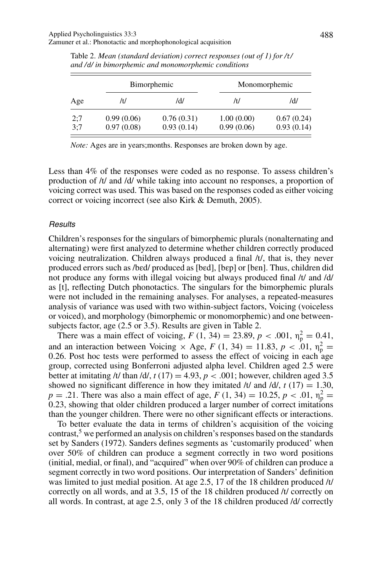|            |                          | Bimorphemic              | Monomorphemic            |                          |
|------------|--------------------------|--------------------------|--------------------------|--------------------------|
| Age        | /t/                      | /d/                      | /t/                      | /d/                      |
| 2:7<br>3:7 | 0.99(0.06)<br>0.97(0.08) | 0.76(0.31)<br>0.93(0.14) | 1.00(0.00)<br>0.99(0.06) | 0.67(0.24)<br>0.93(0.14) |

Table 2. *Mean (standard deviation) correct responses (out of 1) for /*t*/ and /*d*/ in bimorphemic and monomorphemic conditions*

*Note:* Ages are in years;months. Responses are broken down by age.

Less than 4% of the responses were coded as no response. To assess children's production of /t/ and /d/ while taking into account no responses, a proportion of voicing correct was used. This was based on the responses coded as either voicing correct or voicing incorrect (see also Kirk & Demuth, 2005).

#### **Results**

Children's responses for the singulars of bimorphemic plurals (nonalternating and alternating) were first analyzed to determine whether children correctly produced voicing neutralization. Children always produced a final /t/, that is, they never produced errors such as /bɛd/ produced as [bɛd], [bɛp] or [bɛn]. Thus, children did not produce any forms with illegal voicing but always produced final /t/ and /d/ as [t], reflecting Dutch phonotactics. The singulars for the bimorphemic plurals were not included in the remaining analyses. For analyses, a repeated-measures analysis of variance was used with two within-subject factors, Voicing (voiceless or voiced), and morphology (bimorphemic or monomorphemic) and one betweensubjects factor, age (2.5 or 3.5). Results are given in Table 2.

There was a main effect of voicing,  $F(1, 34) = 23.89, p < .001, \eta_p^2 = 0.41,$ and an interaction between Voicing  $\times$  Age,  $F(1, 34) = 11.83$ ,  $p < .01$ ,  $\eta_p^2 =$ 0.26. Post hoc tests were performed to assess the effect of voicing in each age group, corrected using Bonferroni adjusted alpha level. Children aged 2.5 were better at imitating /t/ than /d/,  $t(17) = 4.93$ ,  $p < .001$ ; however, children aged 3.5 showed no significant difference in how they imitated  $/t/d$  and  $/d/$ ,  $t(17) = 1.30$ ,  $p = .21$ . There was also a main effect of age,  $F(1, 34) = 10.25$ ,  $p < .01$ ,  $\eta_p^2 = 22.2$ 0.23, showing that older children produced a larger number of correct imitations than the younger children. There were no other significant effects or interactions.

To better evaluate the data in terms of children's acquisition of the voicing contrast, $\delta$  we performed an analysis on children's responses based on the standards set by Sanders (1972). Sanders defines segments as 'customarily produced' when over 50% of children can produce a segment correctly in two word positions (initial, medial, or final), and "acquired" when over 90% of children can produce a segment correctly in two word positions. Our interpretation of Sanders' definition was limited to just medial position. At age 2.5, 17 of the 18 children produced /t/ correctly on all words, and at 3.5, 15 of the 18 children produced /t/ correctly on all words. In contrast, at age 2.5, only 3 of the 18 children produced /d/ correctly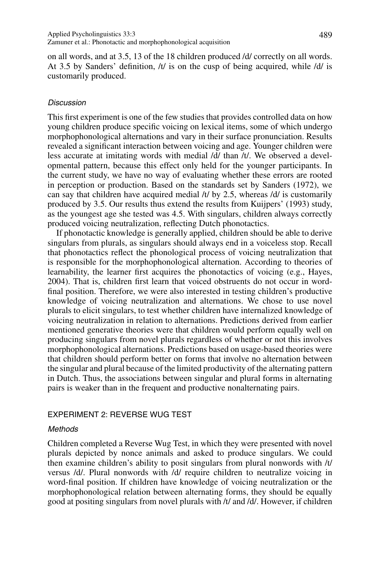on all words, and at 3.5, 13 of the 18 children produced /d/ correctly on all words. At 3.5 by Sanders' definition, /t/ is on the cusp of being acquired, while /d/ is customarily produced.

# **Discussion**

This first experiment is one of the few studies that provides controlled data on how young children produce specific voicing on lexical items, some of which undergo morphophonological alternations and vary in their surface pronunciation. Results revealed a significant interaction between voicing and age. Younger children were less accurate at imitating words with medial /d/ than /t/. We observed a developmental pattern, because this effect only held for the younger participants. In the current study, we have no way of evaluating whether these errors are rooted in perception or production. Based on the standards set by Sanders (1972), we can say that children have acquired medial /t/ by 2.5, whereas /d/ is customarily produced by 3.5. Our results thus extend the results from Kuijpers' (1993) study, as the youngest age she tested was 4.5. With singulars, children always correctly produced voicing neutralization, reflecting Dutch phonotactics.

If phonotactic knowledge is generally applied, children should be able to derive singulars from plurals, as singulars should always end in a voiceless stop. Recall that phonotactics reflect the phonological process of voicing neutralization that is responsible for the morphophonological alternation. According to theories of learnability, the learner first acquires the phonotactics of voicing (e.g., Hayes, 2004). That is, children first learn that voiced obstruents do not occur in wordfinal position. Therefore, we were also interested in testing children's productive knowledge of voicing neutralization and alternations. We chose to use novel plurals to elicit singulars, to test whether children have internalized knowledge of voicing neutralization in relation to alternations. Predictions derived from earlier mentioned generative theories were that children would perform equally well on producing singulars from novel plurals regardless of whether or not this involves morphophonological alternations. Predictions based on usage-based theories were that children should perform better on forms that involve no alternation between the singular and plural because of the limited productivity of the alternating pattern in Dutch. Thus, the associations between singular and plural forms in alternating pairs is weaker than in the frequent and productive nonalternating pairs.

# EXPERIMENT 2: REVERSE WUG TEST

# **Methods**

Children completed a Reverse Wug Test, in which they were presented with novel plurals depicted by nonce animals and asked to produce singulars. We could then examine children's ability to posit singulars from plural nonwords with /t/ versus /d/. Plural nonwords with /d/ require children to neutralize voicing in word-final position. If children have knowledge of voicing neutralization or the morphophonological relation between alternating forms, they should be equally good at positing singulars from novel plurals with /t/ and /d/. However, if children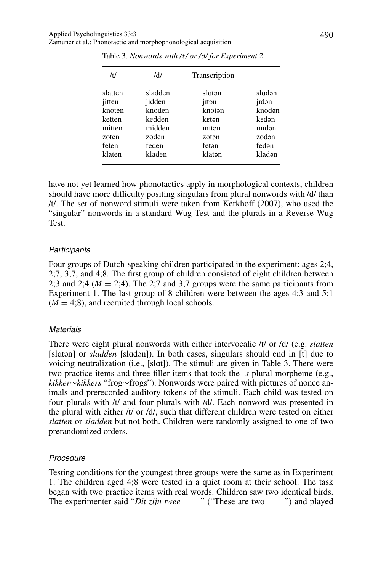| /t/     | /d/     | Transcription |        |
|---------|---------|---------------|--------|
| slatten | sladden | slaton        | sladən |
| iitten  | jidden  | jitan         | jidən  |
| knoten  | knoden  | knotən        | knodan |
| ketten  | kedden  | ketən         | kedən  |
| mitten  | midden  | miton         | mıdən  |
| zoten   | zoden   | zoton         | zodən  |
| feten   | feden   | feton         | fedən  |
| klaten  | kladen  | klatən        | kladən |

Table 3. *Nonwords with /*t*/ or /*d*/ for Experiment 2*

have not yet learned how phonotactics apply in morphological contexts, children should have more difficulty positing singulars from plural nonwords with /d/ than /t/. The set of nonword stimuli were taken from Kerkhoff (2007), who used the "singular" nonwords in a standard Wug Test and the plurals in a Reverse Wug Test.

## **Participants**

Four groups of Dutch-speaking children participated in the experiment: ages 2;4, 2;7, 3;7, and 4;8. The first group of children consisted of eight children between 2;3 and 2;4  $(M = 2, 4)$ . The 2;7 and 3;7 groups were the same participants from Experiment 1. The last group of 8 children were between the ages 4;3 and 5;1  $(M = 4, 8)$ , and recruited through local schools.

#### **Materials**

There were eight plural nonwords with either intervocalic /t/ or /d/ (e.g. *slatten* [slɑtən] or *sladden* [slɑdən]). In both cases, singulars should end in [t] due to voicing neutralization (i.e., [slɑt]). The stimuli are given in Table 3. There were two practice items and three filler items that took the -*s* plural morpheme (e.g., *kikker*∼*kikkers* "frog∼frogs"). Nonwords were paired with pictures of nonce animals and prerecorded auditory tokens of the stimuli. Each child was tested on four plurals with /t/ and four plurals with /d/. Each nonword was presented in the plural with either /t/ or /d/, such that different children were tested on either *slatten* or *sladden* but not both. Children were randomly assigned to one of two prerandomized orders.

#### **Procedure**

Testing conditions for the youngest three groups were the same as in Experiment 1. The children aged 4;8 were tested in a quiet room at their school. The task began with two practice items with real words. Children saw two identical birds. The experimenter said "*Dit zijn twee*  $\cdots$  ("These are two  $\cdots$ ) and played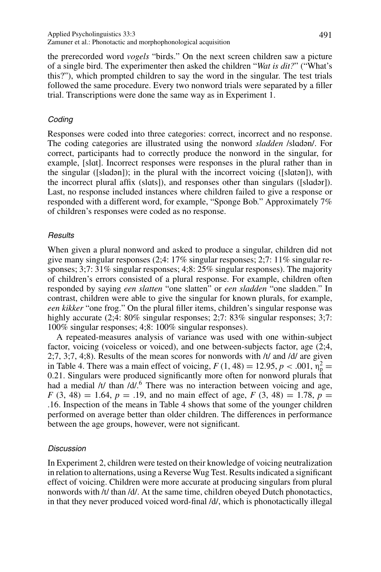the prerecorded word *vogels* "birds." On the next screen children saw a picture of a single bird. The experimenter then asked the children "*Wat is dit?*" ("What's this?"), which prompted children to say the word in the singular. The test trials followed the same procedure. Every two nonword trials were separated by a filler trial. Transcriptions were done the same way as in Experiment 1.

# Coding

Responses were coded into three categories: correct, incorrect and no response. The coding categories are illustrated using the nonword *sladden* /slɑdən/. For correct, participants had to correctly produce the nonword in the singular, for example, [slɑt]. Incorrect responses were responses in the plural rather than in the singular ([slɑdən]); in the plural with the incorrect voicing ([slɑtən]), with the incorrect plural affix (slɑts]), and responses other than singulars ([slɑdər]). Last, no response included instances where children failed to give a response or responded with a different word, for example, "Sponge Bob." Approximately 7% of children's responses were coded as no response.

## **Results**

When given a plural nonword and asked to produce a singular, children did not give many singular responses (2;4: 17% singular responses; 2;7: 11% singular responses; 3;7: 31% singular responses; 4;8: 25% singular responses). The majority of children's errors consisted of a plural response. For example, children often responded by saying *een slatten* "one slatten" or *een sladden* "one sladden." In contrast, children were able to give the singular for known plurals, for example, *een kikker* "one frog." On the plural filler items, children's singular response was highly accurate  $(2,4: 80\%$  singular responses; 2;7: 83% singular responses; 3;7: 100% singular responses; 4;8: 100% singular responses).

A repeated-measures analysis of variance was used with one within-subject factor, voicing (voiceless or voiced), and one between-subjects factor, age (2;4, 2;7, 3;7, 4;8). Results of the mean scores for nonwords with /t/ and /d/ are given in Table 4. There was a main effect of voicing,  $F(1, 48) = 12.95, p < .001, \eta_{p}^{2} = 0.001$ 0.21. Singulars were produced significantly more often for nonword plurals that had a medial /t/ than  $\frac{d}{b}$ . There was no interaction between voicing and age,  $F(3, 48) = 1.64$ ,  $p = .19$ , and no main effect of age,  $F(3, 48) = 1.78$ ,  $p =$ .16. Inspection of the means in Table 4 shows that some of the younger children performed on average better than older children. The differences in performance between the age groups, however, were not significant.

# **Discussion**

In Experiment 2, children were tested on their knowledge of voicing neutralization in relation to alternations, using a Reverse Wug Test. Results indicated a significant effect of voicing. Children were more accurate at producing singulars from plural nonwords with /t/ than /d/. At the same time, children obeyed Dutch phonotactics, in that they never produced voiced word-final /d/, which is phonotactically illegal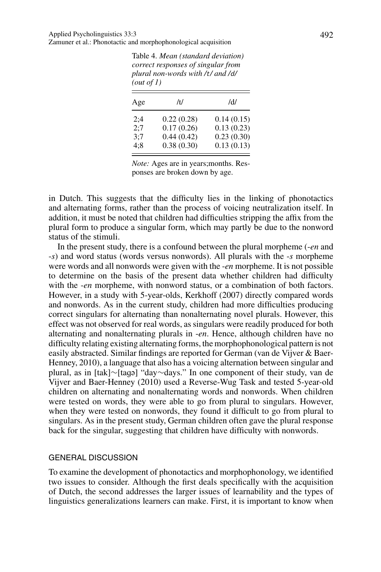Zamuner et al.: Phonotactic and morphophonological acquisition

Table 4. *Mean (standard deviation) correct responses of singular from plural non-words with /*t*/ and /*d*/ (out of 1)*

| Age | /t/        | /d/        |  |
|-----|------------|------------|--|
| 2:4 | 0.22(0.28) | 0.14(0.15) |  |
| 2:7 | 0.17(0.26) | 0.13(0.23) |  |
| 3:7 | 0.44(0.42) | 0.23(0.30) |  |
| 4:8 | 0.38(0.30) | 0.13(0.13) |  |

*Note:* Ages are in years;months. Responses are broken down by age.

in Dutch. This suggests that the difficulty lies in the linking of phonotactics and alternating forms, rather than the process of voicing neutralization itself. In addition, it must be noted that children had difficulties stripping the affix from the plural form to produce a singular form, which may partly be due to the nonword status of the stimuli.

In the present study, there is a confound between the plural morpheme (-*en* and -*s*) and word status (words versus nonwords). All plurals with the -*s* morpheme were words and all nonwords were given with the -*en* morpheme. It is not possible to determine on the basis of the present data whether children had difficulty with the *-en* morpheme, with nonword status, or a combination of both factors. However, in a study with 5-year-olds, Kerkhoff (2007) directly compared words and nonwords. As in the current study, children had more difficulties producing correct singulars for alternating than nonalternating novel plurals. However, this effect was not observed for real words, as singulars were readily produced for both alternating and nonalternating plurals in -*en*. Hence, although children have no difficulty relating existing alternating forms, the morphophonological pattern is not easily abstracted. Similar findings are reported for German (van de Vijver & Baer-Henney, 2010), a language that also has a voicing alternation between singular and plural, as in [tak]∼[taɡə] "day∼days." In one component of their study, van de Vijver and Baer-Henney (2010) used a Reverse-Wug Task and tested 5-year-old children on alternating and nonalternating words and nonwords. When children were tested on words, they were able to go from plural to singulars. However, when they were tested on nonwords, they found it difficult to go from plural to singulars. As in the present study, German children often gave the plural response back for the singular, suggesting that children have difficulty with nonwords.

#### GENERAL DISCUSSION

To examine the development of phonotactics and morphophonology, we identified two issues to consider. Although the first deals specifically with the acquisition of Dutch, the second addresses the larger issues of learnability and the types of linguistics generalizations learners can make. First, it is important to know when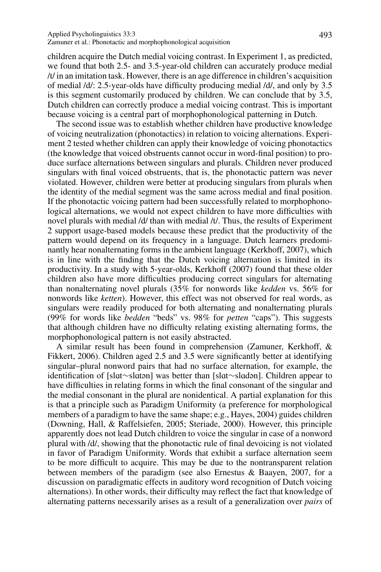children acquire the Dutch medial voicing contrast. In Experiment 1, as predicted, we found that both 2.5- and 3.5-year-old children can accurately produce medial /t/ in an imitation task. However, there is an age difference in children's acquisition of medial /d/: 2.5-year-olds have difficulty producing medial /d/, and only by 3.5 is this segment customarily produced by children. We can conclude that by 3.5, Dutch children can correctly produce a medial voicing contrast. This is important because voicing is a central part of morphophonological patterning in Dutch.

The second issue was to establish whether children have productive knowledge of voicing neutralization (phonotactics) in relation to voicing alternations. Experiment 2 tested whether children can apply their knowledge of voicing phonotactics (the knowledge that voiced obstruents cannot occur in word-final position) to produce surface alternations between singulars and plurals. Children never produced singulars with final voiced obstruents, that is, the phonotactic pattern was never violated. However, children were better at producing singulars from plurals when the identity of the medial segment was the same across medial and final position. If the phonotactic voicing pattern had been successfully related to morphophonological alternations, we would not expect children to have more difficulties with novel plurals with medial /d/ than with medial /t/. Thus, the results of Experiment 2 support usage-based models because these predict that the productivity of the pattern would depend on its frequency in a language. Dutch learners predominantly hear nonalternating forms in the ambient language (Kerkhoff, 2007), which is in line with the finding that the Dutch voicing alternation is limited in its productivity. In a study with 5-year-olds, Kerkhoff (2007) found that these older children also have more difficulties producing correct singulars for alternating than nonalternating novel plurals (35% for nonwords like *kedden* vs. 56% for nonwords like *ketten*). However, this effect was not observed for real words, as singulars were readily produced for both alternating and nonalternating plurals (99% for words like *bedden* "beds" vs. 98% for *petten* "caps"). This suggests that although children have no difficulty relating existing alternating forms, the morphophonological pattern is not easily abstracted.

A similar result has been found in comprehension (Zamuner, Kerkhoff, & Fikkert, 2006). Children aged 2.5 and 3.5 were significantly better at identifying singular–plural nonword pairs that had no surface alternation, for example, the identification of [slɑt∼slɑtən] was better than [slɑt∼slɑdən]. Children appear to have difficulties in relating forms in which the final consonant of the singular and the medial consonant in the plural are nonidentical. A partial explanation for this is that a principle such as Paradigm Uniformity (a preference for morphological members of a paradigm to have the same shape; e.g., Hayes, 2004) guides children (Downing, Hall, & Raffelsiefen, 2005; Steriade, 2000). However, this principle apparently does not lead Dutch children to voice the singular in case of a nonword plural with /d/, showing that the phonotactic rule of final devoicing is not violated in favor of Paradigm Uniformity. Words that exhibit a surface alternation seem to be more difficult to acquire. This may be due to the nontransparent relation between members of the paradigm (see also Ernestus & Baayen, 2007, for a discussion on paradigmatic effects in auditory word recognition of Dutch voicing alternations). In other words, their difficulty may reflect the fact that knowledge of alternating patterns necessarily arises as a result of a generalization over *pairs* of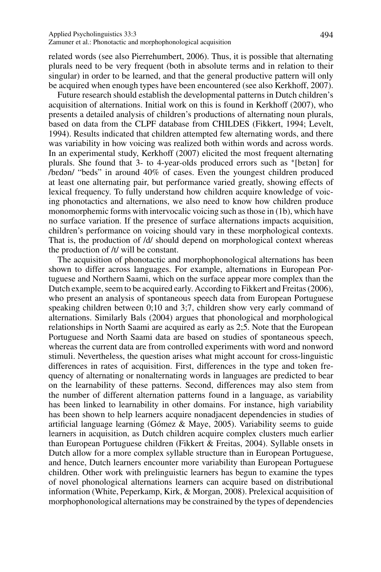related words (see also Pierrehumbert, 2006). Thus, it is possible that alternating plurals need to be very frequent (both in absolute terms and in relation to their singular) in order to be learned, and that the general productive pattern will only be acquired when enough types have been encountered (see also Kerkhoff, 2007).

Future research should establish the developmental patterns in Dutch children's acquisition of alternations. Initial work on this is found in Kerkhoff (2007), who presents a detailed analysis of children's productions of alternating noun plurals, based on data from the CLPF database from CHILDES (Fikkert, 1994; Levelt, 1994). Results indicated that children attempted few alternating words, and there was variability in how voicing was realized both within words and across words. In an experimental study, Kerkhoff (2007) elicited the most frequent alternating plurals. She found that 3- to 4-year-olds produced errors such as <sup>∗</sup>[bɛtən] for /bɛdən/ "beds" in around 40% of cases. Even the youngest children produced at least one alternating pair, but performance varied greatly, showing effects of lexical frequency. To fully understand how children acquire knowledge of voicing phonotactics and alternations, we also need to know how children produce monomorphemic forms with intervocalic voicing such as those in (1b), which have no surface variation. If the presence of surface alternations impacts acquisition, children's performance on voicing should vary in these morphological contexts. That is, the production of /d/ should depend on morphological context whereas the production of /t/ will be constant.

The acquisition of phonotactic and morphophonological alternations has been shown to differ across languages. For example, alternations in European Portuguese and Northern Saami, which on the surface appear more complex than the Dutch example, seem to be acquired early. According to Fikkert and Freitas (2006), who present an analysis of spontaneous speech data from European Portuguese speaking children between 0;10 and 3;7, children show very early command of alternations. Similarly Bals (2004) argues that phonological and morphological relationships in North Saami are acquired as early as 2;5. Note that the European Portuguese and North Saami data are based on studies of spontaneous speech, whereas the current data are from controlled experiments with word and nonword stimuli. Nevertheless, the question arises what might account for cross-linguistic differences in rates of acquisition. First, differences in the type and token frequency of alternating or nonalternating words in languages are predicted to bear on the learnability of these patterns. Second, differences may also stem from the number of different alternation patterns found in a language, as variability has been linked to learnability in other domains. For instance, high variability has been shown to help learners acquire nonadjacent dependencies in studies of artificial language learning (Gómez & Maye, 2005). Variability seems to guide learners in acquisition, as Dutch children acquire complex clusters much earlier than European Portuguese children (Fikkert & Freitas, 2004). Syllable onsets in Dutch allow for a more complex syllable structure than in European Portuguese, and hence, Dutch learners encounter more variability than European Portuguese children. Other work with prelinguistic learners has begun to examine the types of novel phonological alternations learners can acquire based on distributional information (White, Peperkamp, Kirk, & Morgan, 2008). Prelexical acquisition of morphophonological alternations may be constrained by the types of dependencies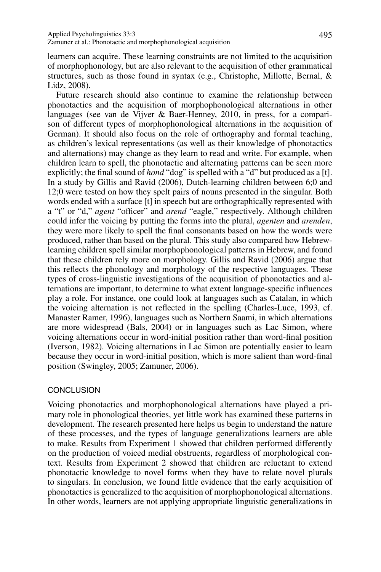learners can acquire. These learning constraints are not limited to the acquisition of morphophonology, but are also relevant to the acquisition of other grammatical structures, such as those found in syntax (e.g., Christophe, Millotte, Bernal, & Lidz, 2008).

Future research should also continue to examine the relationship between phonotactics and the acquisition of morphophonological alternations in other languages (see van de Vijver & Baer-Henney, 2010, in press, for a comparison of different types of morphophonological alternations in the acquisition of German). It should also focus on the role of orthography and formal teaching, as children's lexical representations (as well as their knowledge of phonotactics and alternations) may change as they learn to read and write. For example, when children learn to spell, the phonotactic and alternating patterns can be seen more explicitly; the final sound of *hond* "dog" is spelled with a "d" but produced as a [t]. In a study by Gillis and Ravid (2006), Dutch-learning children between 6;0 and 12;0 were tested on how they spelt pairs of nouns presented in the singular. Both words ended with a surface [t] in speech but are orthographically represented with a "t" or "d," *agent* "officer" and *arend* "eagle," respectively. Although children could infer the voicing by putting the forms into the plural, *agenten* and *arenden*, they were more likely to spell the final consonants based on how the words were produced, rather than based on the plural. This study also compared how Hebrewlearning children spell similar morphophonological patterns in Hebrew, and found that these children rely more on morphology. Gillis and Ravid (2006) argue that this reflects the phonology and morphology of the respective languages. These types of cross-linguistic investigations of the acquisition of phonotactics and alternations are important, to determine to what extent language-specific influences play a role. For instance, one could look at languages such as Catalan, in which the voicing alternation is not reflected in the spelling (Charles-Luce, 1993, cf. Manaster Ramer, 1996), languages such as Northern Saami, in which alternations are more widespread (Bals, 2004) or in languages such as Lac Simon, where voicing alternations occur in word-initial position rather than word-final position (Iverson, 1982). Voicing alternations in Lac Simon are potentially easier to learn because they occur in word-initial position, which is more salient than word-final position (Swingley, 2005; Zamuner, 2006).

# **CONCLUSION**

Voicing phonotactics and morphophonological alternations have played a primary role in phonological theories, yet little work has examined these patterns in development. The research presented here helps us begin to understand the nature of these processes, and the types of language generalizations learners are able to make. Results from Experiment 1 showed that children performed differently on the production of voiced medial obstruents, regardless of morphological context. Results from Experiment 2 showed that children are reluctant to extend phonotactic knowledge to novel forms when they have to relate novel plurals to singulars. In conclusion, we found little evidence that the early acquisition of phonotactics is generalized to the acquisition of morphophonological alternations. In other words, learners are not applying appropriate linguistic generalizations in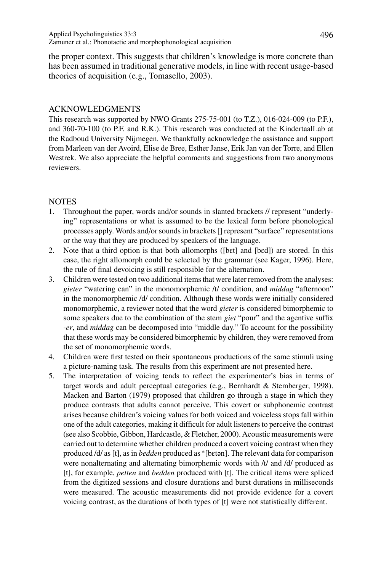the proper context. This suggests that children's knowledge is more concrete than has been assumed in traditional generative models, in line with recent usage-based theories of acquisition (e.g., Tomasello, 2003).

# ACKNOWLEDGMENTS

This research was supported by NWO Grants 275-75-001 (to T.Z.), 016-024-009 (to P.F.), and 360-70-100 (to P.F. and R.K.). This research was conducted at the KindertaalLab at the Radboud University Nijmegen. We thankfully acknowledge the assistance and support from Marleen van der Avoird, Elise de Bree, Esther Janse, Erik Jan van der Torre, and Ellen Westrek. We also appreciate the helpful comments and suggestions from two anonymous reviewers.

# NOTES

- 1. Throughout the paper, words and/or sounds in slanted brackets // represent "underlying" representations or what is assumed to be the lexical form before phonological processes apply. Words and/or sounds in brackets [] represent "surface" representations or the way that they are produced by speakers of the language.
- 2. Note that a third option is that both allomorphs ([bɛt] and [bɛd]) are stored. In this case, the right allomorph could be selected by the grammar (see Kager, 1996). Here, the rule of final devoicing is still responsible for the alternation.
- 3. Children were tested on two additional items that were later removed from the analyses: *gieter* "watering can" in the monomorphemic /t/ condition, and *middag* "afternoon" in the monomorphemic /d/ condition. Although these words were initially considered monomorphemic, a reviewer noted that the word *gieter* is considered bimorphemic to some speakers due to the combination of the stem *giet* "pour" and the agentive suffix -*er*, and *middag* can be decomposed into "middle day." To account for the possibility that these words may be considered bimorphemic by children, they were removed from the set of monomorphemic words.
- 4. Children were first tested on their spontaneous productions of the same stimuli using a picture-naming task. The results from this experiment are not presented here.
- 5. The interpretation of voicing tends to reflect the experimenter's bias in terms of target words and adult perceptual categories (e.g., Bernhardt & Stemberger, 1998). Macken and Barton (1979) proposed that children go through a stage in which they produce contrasts that adults cannot perceive. This covert or subphonemic contrast arises because children's voicing values for both voiced and voiceless stops fall within one of the adult categories, making it difficult for adult listeners to perceive the contrast (see also Scobbie, Gibbon, Hardcastle, & Fletcher, 2000). Acoustic measurements were carried out to determine whether children produced a covert voicing contrast when they produced /d/ as [t], as in *bedden* produced as <sup>∗</sup>[bɛtən]. The relevant data for comparison were nonalternating and alternating bimorphemic words with /t/ and /d/ produced as [t], for example, *petten* and *bedden* produced with [t]. The critical items were spliced from the digitized sessions and closure durations and burst durations in milliseconds were measured. The acoustic measurements did not provide evidence for a covert voicing contrast, as the durations of both types of [t] were not statistically different.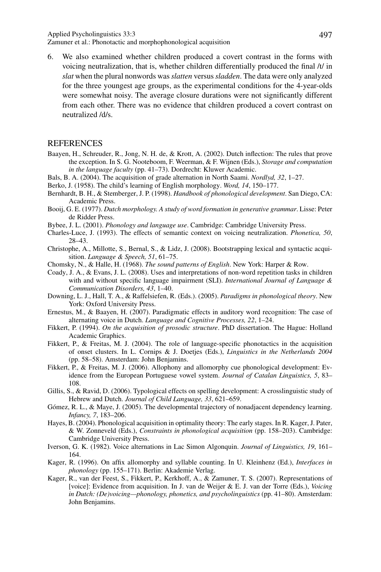Applied Psycholinguistics 33:3 497 Zamuner et al.: Phonotactic and morphophonological acquisition

6. We also examined whether children produced a covert contrast in the forms with voicing neutralization, that is, whether children differentially produced the final /t/ in *slat* when the plural nonwords was*slatten* versus*sladden*. The data were only analyzed for the three youngest age groups, as the experimental conditions for the 4-year-olds were somewhat noisy. The average closure durations were not significantly different from each other. There was no evidence that children produced a covert contrast on neutralized /d/s.

#### **REFERENCES**

- Baayen, H., Schreuder, R., Jong, N. H. de, & Krott, A. (2002). Dutch inflection: The rules that prove the exception. In S. G. Nooteboom, F. Weerman, & F. Wijnen (Eds.), *Storage and computation in the language faculty* (pp. 41–73). Dordrecht: Kluwer Academic.
- Bals, B. A. (2004). The acquisition of grade alternation in North Saami. *Nordlyd, 32*, 1–27.
- Berko, J. (1958). The child's learning of English morphology. *Word, 14*, 150–177.
- Bernhardt, B. H., & Stemberger, J. P. (1998). *Handbook of phonological development*. San Diego, CA: Academic Press.
- Booij, G. E. (1977). *Dutch morphology. A study of word formation in generative grammar*. Lisse: Peter de Ridder Press.
- Bybee, J. L. (2001). *Phonology and language use*. Cambridge: Cambridge University Press.
- Charles-Luce, J. (1993). The effects of semantic context on voicing neutralization. *Phonetica, 50*, 28–43.
- Christophe, A., Millotte, S., Bernal, S., & Lidz, J. (2008). Bootstrapping lexical and syntactic acquisition. *Language & Speech, 51*, 61–75.
- Chomsky, N., & Halle, H. (1968). *The sound patterns of English*. New York: Harper & Row.
- Coady, J. A., & Evans, J. L. (2008). Uses and interpretations of non-word repetition tasks in children with and without specific language impairment (SLI). *International Journal of Language & Communication Disorders, 43*, 1–40.
- Downing, L. J., Hall, T. A., & Raffelsiefen, R. (Eds.). (2005). *Paradigms in phonological theory*. New York: Oxford University Press.
- Ernestus, M., & Baayen, H. (2007). Paradigmatic effects in auditory word recognition: The case of alternating voice in Dutch. *Language and Cognitive Processes, 22*, 1–24.
- Fikkert, P. (1994). *On the acquisition of prosodic structure*. PhD dissertation. The Hague: Holland Academic Graphics.
- Fikkert, P., & Freitas, M. J. (2004). The role of language-specific phonotactics in the acquisition of onset clusters. In L. Cornips & J. Doetjes (Eds.), *Linguistics in the Netherlands 2004* (pp. 58–58). Amsterdam: John Benjamins.
- Fikkert, P., & Freitas, M. J. (2006). Allophony and allomorphy cue phonological development: Evidence from the European Portuguese vowel system. *Journal of Catalan Linguistics, 5*, 83– 108.
- Gillis, S., & Ravid, D. (2006). Typological effects on spelling development: A crosslinguistic study of Hebrew and Dutch. *Journal of Child Language, 33*, 621–659.
- Gómez, R. L., & Maye, J. (2005). The developmental trajectory of nonadjacent dependency learning. *Infancy, 7*, 183–206.
- Hayes, B. (2004). Phonological acquisition in optimality theory: The early stages. In R. Kager, J. Pater, & W. Zonneveld (Eds.), *Constraints in phonological acquisition* (pp. 158–203). Cambridge: Cambridge University Press.
- Iverson, G. K. (1982). Voice alternations in Lac Simon Algonquin. *Journal of Linguistics, 19*, 161– 164.
- Kager, R. (1996). On affix allomorphy and syllable counting. In U. Kleinhenz (Ed.), *Interfaces in phonology* (pp. 155–171). Berlin: Akademie Verlag.
- Kager, R., van der Feest, S., Fikkert, P., Kerkhoff, A., & Zamuner, T. S. (2007). Representations of [voice]: Evidence from acquisition. In J. van de Weijer & E. J. van der Torre (Eds.), *Voicing in Dutch: (De)voicing—phonology, phonetics, and psycholinguistics* (pp. 41–80). Amsterdam: John Benjamins.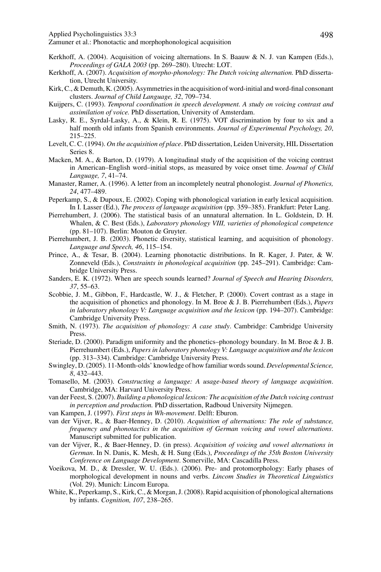Applied Psycholinguistics 33:3 498

Zamuner et al.: Phonotactic and morphophonological acquisition

- Kerkhoff, A. (2004). Acquisition of voicing alternations. In S. Baauw & N. J. van Kampen (Eds.), *Proceedings of GALA 2003* (pp. 269–280). Utrecht: LOT.
- Kerkhoff, A. (2007). *Acquisition of morpho-phonology: The Dutch voicing alternation.* PhD dissertation, Utrecht University.
- Kirk, C., & Demuth, K. (2005). Asymmetries in the acquisition of word-initial and word-final consonant clusters. *Journal of Child Language, 32*, 709–734.
- Kuijpers, C. (1993). *Temporal coordination in speech development. A study on voicing contrast and assimilation of voice.* PhD dissertation, University of Amsterdam.
- Lasky, R. E., Syrdal-Lasky, A., & Klein, R. E. (1975). VOT discrimination by four to six and a half month old infants from Spanish environments. *Journal of Experimental Psychology, 20*, 215–225.
- Levelt, C. C. (1994). *On the acquisition of place*. PhD dissertation, Leiden University, HIL Dissertation Series 8.
- Macken, M. A., & Barton, D. (1979). A longitudinal study of the acquisition of the voicing contrast in American–English word–initial stops, as measured by voice onset time. *Journal of Child Language, 7*, 41–74.
- Manaster, Ramer, A. (1996). A letter from an incompletely neutral phonologist. *Journal of Phonetics, 24*, 477–489.
- Peperkamp, S., & Dupoux, E. (2002). Coping with phonological variation in early lexical acquisition. In I. Lasser (Ed.), *The process of language acquisition* (pp. 359–385). Frankfurt: Peter Lang.
- Pierrehumbert, J. (2006). The statistical basis of an unnatural alternation. In L. Goldstein, D. H. Whalen, & C. Best (Eds.), *Laboratory phonology VIII, varieties of phonological competence* (pp. 81–107). Berlin: Mouton de Gruyter.
- Pierrehumbert, J. B. (2003). Phonetic diversity, statistical learning, and acquisition of phonology. *Language and Speech, 46*, 115–154.
- Prince, A., & Tesar, B. (2004). Learning phonotactic distributions. In R. Kager, J. Pater, & W. Zonneveld (Eds.), *Constraints in phonological acquisition* (pp. 245–291). Cambridge: Cambridge University Press.
- Sanders, E. K. (1972). When are speech sounds learned? *Journal of Speech and Hearing Disorders, 37*, 55–63.
- Scobbie, J. M., Gibbon, F., Hardcastle, W. J., & Fletcher, P. (2000). Covert contrast as a stage in the acquisition of phonetics and phonology. In M. Broe & J. B. Pierrehumbert (Eds.), *Papers in laboratory phonology V: Language acquisition and the lexicon* (pp. 194–207). Cambridge: Cambridge University Press.
- Smith, N. (1973). *The acquisition of phonology: A case study*. Cambridge: Cambridge University Press.
- Steriade, D. (2000). Paradigm uniformity and the phonetics–phonology boundary. In M. Broe & J. B. Pierrehumbert (Eds.), *Papers in laboratory phonology V: Language acquisition and the lexicon* (pp. 313–334). Cambridge: Cambridge University Press.
- Swingley, D. (2005). 11-Month-olds' knowledge of how familiar words sound. *Developmental Science, 8*, 432–443.
- Tomasello, M. (2003). *Constructing a language: A usage-based theory of language acquisition*. Cambridge, MA: Harvard University Press.
- van der Feest, S. (2007). *Building a phonological lexicon: The acquisition of the Dutch voicing contrast in perception and production.* PhD dissertation, Radboud University Nijmegen.
- van Kampen, J. (1997). *First steps in Wh-movement*. Delft: Eburon.
- van der Vijver, R., & Baer-Henney, D. (2010). *Acquisition of alternations: The role of substance, frequency and phonotactics in the acquisition of German voicing and vowel alternations*. Manuscript submitted for publication.
- van der Vijver, R., & Baer-Henney, D. (in press). *Acquisition of voicing and vowel alternations in German*. In N. Danis, K. Mesh, & H. Sung (Eds.), *Proceedings of the 35th Boston University Conference on Language Development*. Somerville, MA: Cascadilla Press.
- Voeikova, M. D., & Dressler, W. U. (Eds.). (2006). Pre- and protomorphology: Early phases of morphological development in nouns and verbs. *Lincom Studies in Theoretical Linguistics* (Vol. 29). Munich: Lincom Europa.
- White, K., Peperkamp, S., Kirk, C., & Morgan, J. (2008). Rapid acquisition of phonological alternations by infants. *Cognition, 107*, 238–265.